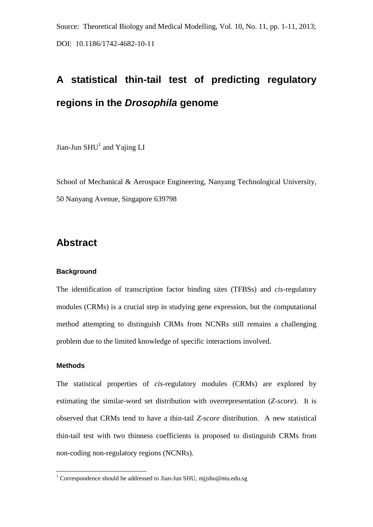Source: Theoretical Biology and Medical Modelling, Vol. 10, No. 11, pp. 1-11, 2013; DOI: 10.1186/1742-4682-10-11

# **A statistical thin-tail test of predicting regulatory regions in the** *Drosophila* **genome**

Jian-Jun  $SHU<sup>1</sup>$  and Yajing LI

School of Mechanical & Aerospace Engineering, Nanyang Technological University, 50 Nanyang Avenue, Singapore 639798

### **Abstract**

#### **Background**

The identification of transcription factor binding sites (TFBSs) and *cis*-regulatory modules (CRMs) is a crucial step in studying gene expression, but the computational method attempting to distinguish CRMs from NCNRs still remains a challenging problem due to the limited knowledge of specific interactions involved.

### **Methods**

1

The statistical properties of *cis*-regulatory modules (CRMs) are explored by estimating the similar-word set distribution with overrepresentation (*Z-score*). It is observed that CRMs tend to have a thin-tail *Z-score* distribution. A new statistical thin-tail test with two thinness coefficients is proposed to distinguish CRMs from non-coding non-regulatory regions (NCNRs).

<sup>&</sup>lt;sup>1</sup> Correspondence should be addressed to Jian-Jun SHU, mjjshu@ntu.edu.sg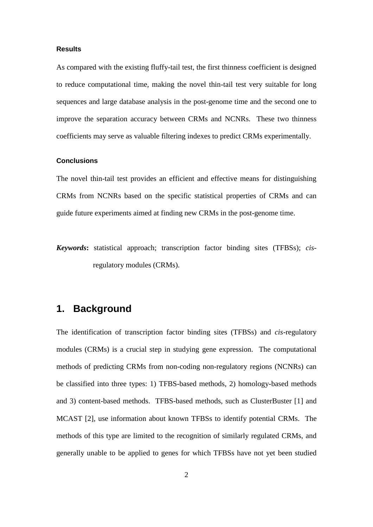#### **Results**

As compared with the existing fluffy-tail test, the first thinness coefficient is designed to reduce computational time, making the novel thin-tail test very suitable for long sequences and large database analysis in the post-genome time and the second one to improve the separation accuracy between CRMs and NCNRs. These two thinness coefficients may serve as valuable filtering indexes to predict CRMs experimentally.

#### **Conclusions**

The novel thin-tail test provides an efficient and effective means for distinguishing CRMs from NCNRs based on the specific statistical properties of CRMs and can guide future experiments aimed at finding new CRMs in the post-genome time.

*Keywords***:** statistical approach; transcription factor binding sites (TFBSs); *cis*regulatory modules (CRMs).

### **1. Background**

The identification of transcription factor binding sites (TFBSs) and *cis*-regulatory modules (CRMs) is a crucial step in studying gene expression. The computational methods of predicting CRMs from non-coding non-regulatory regions (NCNRs) can be classified into three types: 1) TFBS-based methods, 2) homology-based methods and 3) content-based methods. TFBS-based methods, such as ClusterBuster [1] and MCAST [2], use information about known TFBSs to identify potential CRMs. The methods of this type are limited to the recognition of similarly regulated CRMs, and generally unable to be applied to genes for which TFBSs have not yet been studied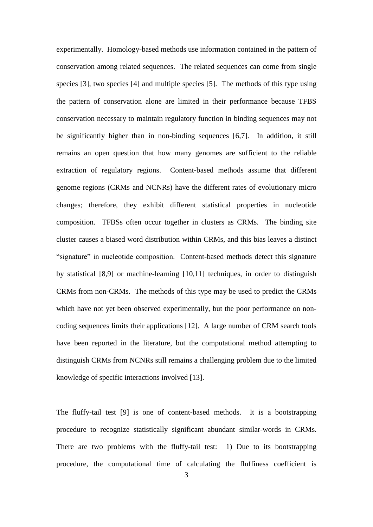experimentally. Homology-based methods use information contained in the pattern of conservation among related sequences. The related sequences can come from single species [3], two species [4] and multiple species [5]. The methods of this type using the pattern of conservation alone are limited in their performance because TFBS conservation necessary to maintain regulatory function in binding sequences may not be significantly higher than in non-binding sequences [6,7]. In addition, it still remains an open question that how many genomes are sufficient to the reliable extraction of regulatory regions. Content-based methods assume that different genome regions (CRMs and NCNRs) have the different rates of evolutionary micro changes; therefore, they exhibit different statistical properties in nucleotide composition. TFBSs often occur together in clusters as CRMs. The binding site cluster causes a biased word distribution within CRMs, and this bias leaves a distinct "signature" in nucleotide composition. Content-based methods detect this signature by statistical [8,9] or machine-learning [10,11] techniques, in order to distinguish CRMs from non-CRMs. The methods of this type may be used to predict the CRMs which have not yet been observed experimentally, but the poor performance on noncoding sequences limits their applications [12]. A large number of CRM search tools have been reported in the literature, but the computational method attempting to distinguish CRMs from NCNRs still remains a challenging problem due to the limited knowledge of specific interactions involved [13].

The fluffy-tail test [9] is one of content-based methods. It is a bootstrapping procedure to recognize statistically significant abundant similar-words in CRMs. There are two problems with the fluffy-tail test: 1) Due to its bootstrapping procedure, the computational time of calculating the fluffiness coefficient is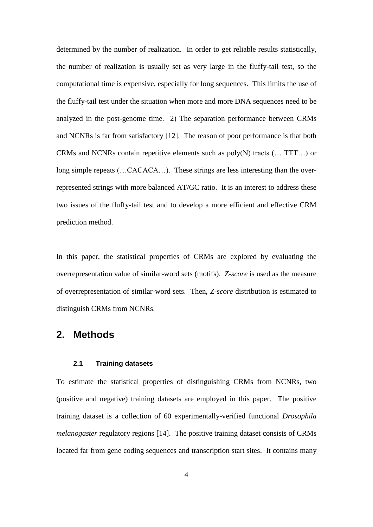determined by the number of realization. In order to get reliable results statistically, the number of realization is usually set as very large in the fluffy-tail test, so the computational time is expensive, especially for long sequences. This limits the use of the fluffy-tail test under the situation when more and more DNA sequences need to be analyzed in the post-genome time. 2) The separation performance between CRMs and NCNRs is far from satisfactory [12]. The reason of poor performance is that both CRMs and NCNRs contain repetitive elements such as  $poly(N)$  tracts  $(\dots TTT...)$  or long simple repeats (...CACACA...). These strings are less interesting than the overrepresented strings with more balanced AT/GC ratio. It is an interest to address these two issues of the fluffy-tail test and to develop a more efficient and effective CRM prediction method.

In this paper, the statistical properties of CRMs are explored by evaluating the overrepresentation value of similar-word sets (motifs). *Z-score* is used as the measure of overrepresentation of similar-word sets. Then, *Z-score* distribution is estimated to distinguish CRMs from NCNRs.

### **2. Methods**

#### **2.1 Training datasets**

To estimate the statistical properties of distinguishing CRMs from NCNRs, two (positive and negative) training datasets are employed in this paper. The positive training dataset is a collection of 60 experimentally-verified functional *Drosophila melanogaster* regulatory regions [14]. The positive training dataset consists of CRMs located far from gene coding sequences and transcription start sites. It contains many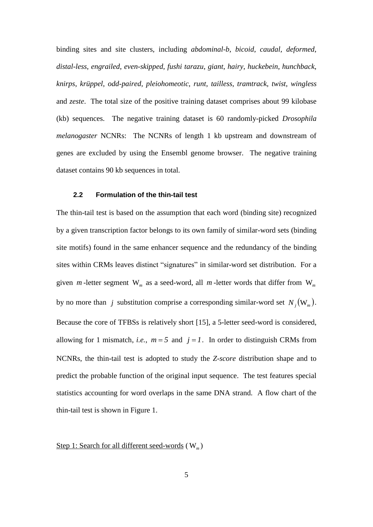binding sites and site clusters, including *abdominal-b*, *bicoid*, *caudal*, *deformed*, *distal-less*, *engrailed*, *even-skipped*, *fushi tarazu*, *giant*, *hairy*, *huckebein*, *hunchback*, *knirps*, *[krüppel](http://en.wikipedia.org/wiki/Kr%C3%BCppel)*, *odd-paired*, *pleiohomeotic*, *runt*, *tailless*, *tramtrack*, *twist*, *wingless* and *zeste*. The total size of the positive training dataset comprises about 99 kilobase (kb) sequences. The negative training dataset is 60 randomly-picked *Drosophila melanogaster* NCNRs: The NCNRs of length 1 kb upstream and downstream of genes are excluded by using the Ensembl genome browser. The negative training dataset contains 90 kb sequences in total.

#### **2.2 Formulation of the thin-tail test**

The thin-tail test is based on the assumption that each word (binding site) recognized by a given transcription factor belongs to its own family of similar-word sets (binding site motifs) found in the same enhancer sequence and the redundancy of the binding sites within CRMs leaves distinct "signatures" in similar-word set distribution. For a given *m*-letter segment  $W_m$  as a seed-word, all *m*-letter words that differ from  $W_m$ by no more than j substitution comprise a corresponding similar-word set  $N_j(\mathbf{W}_m)$ . Because the core of TFBSs is relatively short [15], a 5-letter seed-word is considered, allowing for 1 mismatch, *i.e.*,  $m = 5$  and  $j = 1$ . In order to distinguish CRMs from NCNRs, the thin-tail test is adopted to study the *Z-score* distribution shape and to predict the probable function of the original input sequence. The test features special statistics accounting for word overlaps in the same DNA strand. A flow chart of the thin-tail test is shown in Figure 1.

Step 1: Search for all different seed-words (W<sub>m</sub>)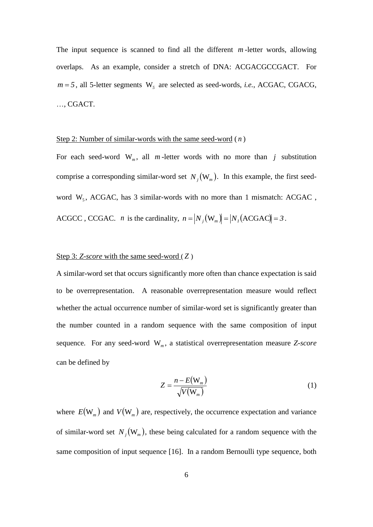The input sequence is scanned to find all the different *m* -letter words, allowing overlaps. As an example, consider a stretch of DNA: ACGACGCCGACT. For  $m = 5$ , all 5-letter segments  $W_s$  are selected as seed-words, *i.e.*, ACGAC, CGACG, …, CGACT.

#### Step 2: Number of similar-words with the same seed-word ( *n* )

For each seed-word  $W_m$ , all m-letter words with no more than j substitution comprise a corresponding similar-word set  $N_j(\mathbf{W}_m)$ . In this example, the first seedword  $W_5$ , ACGAC, has 3 similar-words with no more than 1 mismatch: ACGAC, ACGCC, CCGAC. *n* is the cardinality,  $n = |N_j(\mathbf{W}_m)| = |N_j(\text{ACGAC})| = 3$ .

#### Step 3: *Z*-score with the same seed-word (Z)

A similar-word set that occurs significantly more often than chance expectation is said to be overrepresentation. A reasonable overrepresentation measure would reflect whether the actual occurrence number of similar-word set is significantly greater than the number counted in a random sequence with the same composition of input sequence. For any seed-word W*<sup>m</sup>* , a statistical overrepresentation measure *Z-score* can be defined by

$$
Z = \frac{n - E(W_m)}{\sqrt{V(W_m)}}
$$
\n(1)

where  $E(W_m)$  and  $V(W_m)$  are, respectively, the occurrence expectation and variance of similar-word set  $N_j(\mathbf{W}_m)$ , these being calculated for a random sequence with the same composition of input sequence [16]. In a random Bernoulli type sequence, both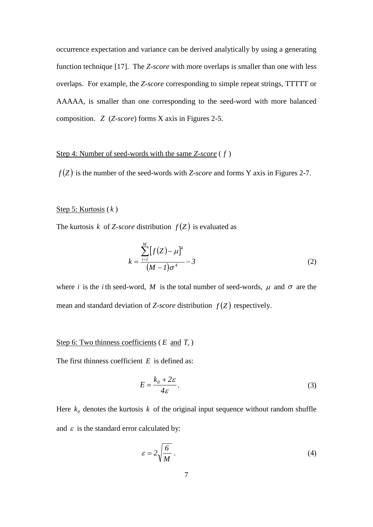occurrence expectation and variance can be derived analytically by using a generating function technique [17]. The *Z-score* with more overlaps is smaller than one with less overlaps. For example, the *Z-score* corresponding to simple repeat strings, TTTTT or AAAAA, is smaller than one corresponding to the seed-word with more balanced composition. *Z* (*Z-score*) forms X axis in Figures 2-5.

### Step 4: Number of seed-words with the same *Z-score* ( *f* )

 $f(Z)$  is the number of the seed-words with *Z-score* and forms Y axis in Figures 2-7.

### Step 5: Kurtosis ( *k* )

The kurtosis k of *Z-score* distribution  $f(Z)$  is evaluated as

$$
k = \frac{\sum_{i=1}^{M} [f(Z) - \mu]^4}{(M - 1)\sigma^4} - 3
$$
 (2)

where *i* is the *i*th seed-word, M is the total number of seed-words,  $\mu$  and  $\sigma$  are the mean and standard deviation of *Z*-*score* distribution  $f(Z)$  respectively.

### Step 6: Two thinness coefficients (*E* and *T<sub>r</sub>*)

The first thinness coefficient *E* is defined as:

$$
E = \frac{k_0 + 2\varepsilon}{4\varepsilon}.
$$
 (3)

Here  $k_0$  denotes the kurtosis k of the original input sequence without random shuffle and  $\varepsilon$  is the standard error calculated by:

$$
\varepsilon = 2\sqrt{\frac{6}{M}}\tag{4}
$$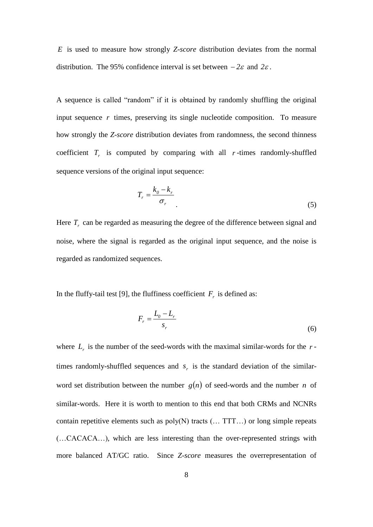*E* is used to measure how strongly *Z-score* distribution deviates from the normal distribution. The 95% confidence interval is set between  $-2\varepsilon$  and  $2\varepsilon$ .

A sequence is called "random" if it is obtained by randomly shuffling the original input sequence *r* times, preserving its single nucleotide composition. To measure how strongly the *Z-score* distribution deviates from randomness, the second thinness coefficient  $T_r$  is computed by comparing with all  $r$ -times randomly-shuffled sequence versions of the original input sequence:

$$
T_r = \frac{k_o - k_r}{\sigma_r} \tag{5}
$$

Here  $T_r$  can be regarded as measuring the degree of the difference between signal and noise, where the signal is regarded as the original input sequence, and the noise is regarded as randomized sequences.

In the fluffy-tail test [9], the fluffiness coefficient  $F_r$  is defined as:

$$
F_r = \frac{L_0 - L_r}{s_r} \tag{6}
$$

where  $L_r$  is the number of the seed-words with the maximal similar-words for the  $r$ times randomly-shuffled sequences and  $s_r$  is the standard deviation of the similarword set distribution between the number  $g(n)$  of seed-words and the number *n* of similar-words. Here it is worth to mention to this end that both CRMs and NCNRs contain repetitive elements such as  $poly(N)$  tracts  $(\dots TTT...)$  or long simple repeats (…CACACA…), which are less interesting than the over-represented strings with more balanced AT/GC ratio. Since *Z-score* measures the overrepresentation of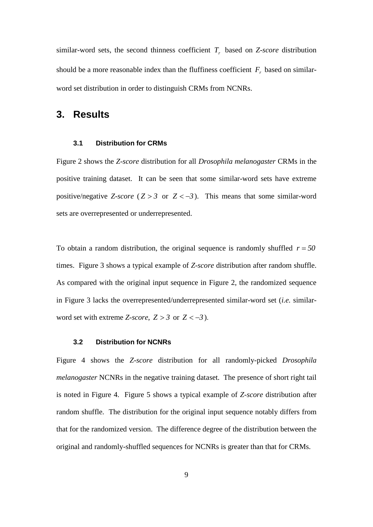similar-word sets, the second thinness coefficient  $T_r$  based on *Z-score* distribution should be a more reasonable index than the fluffiness coefficient  $F_r$  based on similarword set distribution in order to distinguish CRMs from NCNRs.

### **3. Results**

### **3.1 Distribution for CRMs**

Figure 2 shows the *Z-score* distribution for all *Drosophila melanogaster* CRMs in the positive training dataset. It can be seen that some similar-word sets have extreme positive/negative *Z*-score ( $Z > 3$  or  $Z < -3$ ). This means that some similar-word sets are overrepresented or underrepresented.

To obtain a random distribution, the original sequence is randomly shuffled  $r = 50$ times. Figure 3 shows a typical example of *Z-score* distribution after random shuffle. As compared with the original input sequence in Figure 2, the randomized sequence in Figure 3 lacks the overrepresented/underrepresented similar-word set (*i.e.* similarword set with extreme *Z*-*score*,  $Z > 3$  or  $Z < -3$ ).

### **3.2 Distribution for NCNRs**

Figure 4 shows the *Z-score* distribution for all randomly-picked *Drosophila melanogaster* NCNRs in the negative training dataset. The presence of short right tail is noted in Figure 4. Figure 5 shows a typical example of *Z-score* distribution after random shuffle. The distribution for the original input sequence notably differs from that for the randomized version. The difference degree of the distribution between the original and randomly-shuffled sequences for NCNRs is greater than that for CRMs.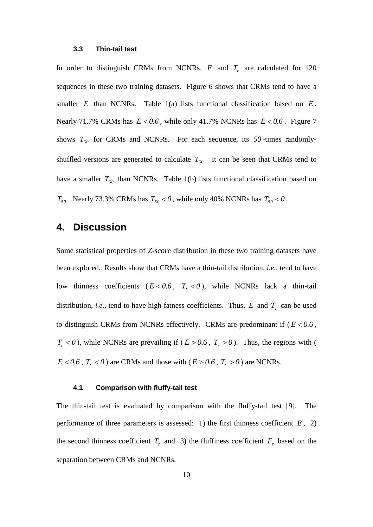#### **3.3 Thin-tail test**

In order to distinguish CRMs from NCNRs,  $E$  and  $T_r$  are calculated for 120 sequences in these two training datasets. Figure 6 shows that CRMs tend to have a smaller  $E$  than NCNRs. Table  $1(a)$  lists functional classification based on  $E$ . Nearly 71.7% CRMs has  $E < 0.6$ , while only 41.7% NCNRs has  $E < 0.6$ . Figure 7 shows  $T_{50}$  for CRMs and NCNRs. For each sequence, its 50-times randomlyshuffled versions are generated to calculate  $T_{50}$ . It can be seen that CRMs tend to have a smaller  $T_{50}$  than NCNRs. Table 1(b) lists functional classification based on  $T_{50}$ . Nearly 73.3% CRMs has  $T_{50} < 0$ , while only 40% NCNRs has  $T_{50} < 0$ .

### **4. Discussion**

Some statistical properties of *Z-score* distribution in these two training datasets have been explored. Results show that CRMs have a thin-tail distribution, *i.e.*, tend to have low thinness coefficients  $(E < 0.6, T_r < 0)$ , while NCNRs lack a thin-tail distribution, *i.e.*, tend to have high fatness coefficients. Thus,  $E$  and  $T_r$  can be used to distinguish CRMs from NCNRs effectively. CRMs are predominant if  $(E < 0.6$ ,  $T_r$  < 0), while NCNRs are prevailing if ( $E > 0.6$ ,  $T_r > 0$ ). Thus, the regions with (  $E < 0.6$ ,  $T_r < 0$  ) are CRMs and those with ( $E > 0.6$ ,  $T_r > 0$ ) are NCNRs.

### **4.1 Comparison with fluffy-tail test**

The thin-tail test is evaluated by comparison with the fluffy-tail test [9]. The performance of three parameters is assessed: 1) the first thinness coefficient  $E$ , 2) the second thinness coefficient  $T_r$  and 3) the fluffiness coefficient  $F_r$  based on the separation between CRMs and NCNRs.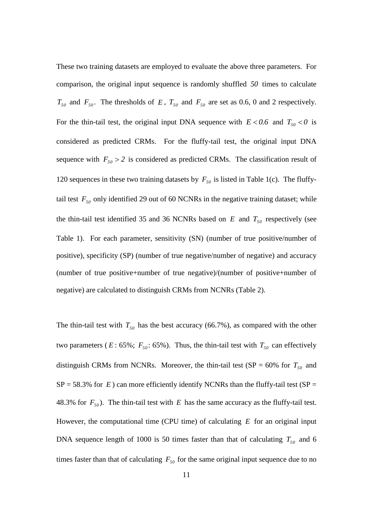These two training datasets are employed to evaluate the above three parameters. For comparison, the original input sequence is randomly shuffled *50* times to calculate  $T_{50}$  and  $F_{50}$ . The thresholds of E,  $T_{50}$  and  $F_{50}$  are set as 0.6, 0 and 2 respectively. For the thin-tail test, the original input DNA sequence with  $E < 0.6$  and  $T_{50} < 0$  is considered as predicted CRMs. For the fluffy-tail test, the original input DNA sequence with  $F_{50} > 2$  is considered as predicted CRMs. The classification result of 120 sequences in these two training datasets by  $F_{50}$  is listed in Table 1(c). The fluffytail test  $F_{50}$  only identified 29 out of 60 NCNRs in the negative training dataset; while the thin-tail test identified 35 and 36 NCNRs based on  $E$  and  $T_{50}$  respectively (see Table 1). For each parameter, sensitivity (SN) (number of true positive/number of positive), specificity (SP) (number of true negative/number of negative) and accuracy (number of true positive+number of true negative)/(number of positive+number of negative) are calculated to distinguish CRMs from NCNRs (Table 2).

The thin-tail test with  $T_{50}$  has the best accuracy (66.7%), as compared with the other two parameters ( $E: 65\%$ ;  $F_{50}$ : 65%). Thus, the thin-tail test with  $T_{50}$  can effectively distinguish CRMs from NCNRs. Moreover, the thin-tail test (SP =  $60\%$  for  $T_{50}$  and  $SP = 58.3\%$  for E) can more efficiently identify NCNRs than the fluffy-tail test (SP = 48.3% for  $F_{50}$ ). The thin-tail test with E has the same accuracy as the fluffy-tail test. However, the computational time (CPU time) of calculating *E* for an original input DNA sequence length of 1000 is 50 times faster than that of calculating  $T_{50}$  and 6 times faster than that of calculating  $F_{50}$  for the same original input sequence due to no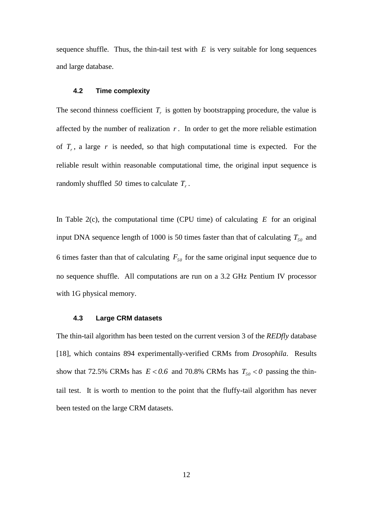sequence shuffle. Thus, the thin-tail test with  $E$  is very suitable for long sequences and large database.

#### **4.2 Time complexity**

The second thinness coefficient  $T_r$  is gotten by bootstrapping procedure, the value is affected by the number of realization  $r$ . In order to get the more reliable estimation of  $T_r$ , a large  $r$  is needed, so that high computational time is expected. For the reliable result within reasonable computational time, the original input sequence is randomly shuffled *50* times to calculate *Tr* .

In Table  $2(c)$ , the computational time (CPU time) of calculating  $E$  for an original input DNA sequence length of 1000 is 50 times faster than that of calculating  $T_{50}$  and 6 times faster than that of calculating  $F_{50}$  for the same original input sequence due to no sequence shuffle. All computations are run on a 3.2 GHz Pentium IV processor with 1G physical memory.

#### **4.3 Large CRM datasets**

The thin-tail algorithm has been tested on the current version 3 of the *REDfly* database [18], which contains 894 experimentally-verified CRMs from *Drosophila*. Results show that 72.5% CRMs has  $E < 0.6$  and 70.8% CRMs has  $T_{50} < 0$  passing the thintail test. It is worth to mention to the point that the fluffy-tail algorithm has never been tested on the large CRM datasets.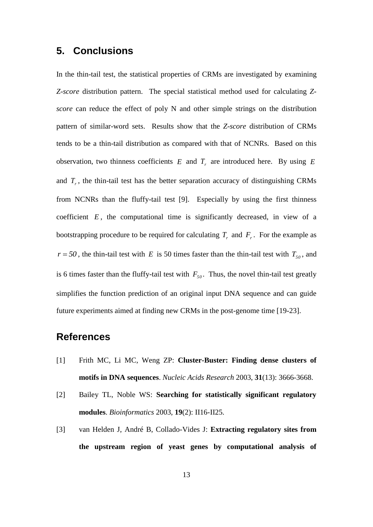### **5. Conclusions**

In the thin-tail test, the statistical properties of CRMs are investigated by examining *Z-score* distribution pattern. The special statistical method used for calculating *Zscore* can reduce the effect of poly N and other simple strings on the distribution pattern of similar-word sets. Results show that the *Z-score* distribution of CRMs tends to be a thin-tail distribution as compared with that of NCNRs. Based on this observation, two thinness coefficients  $E$  and  $T_r$  are introduced here. By using  $E$ and  $T_r$ , the thin-tail test has the better separation accuracy of distinguishing CRMs from NCNRs than the fluffy-tail test [9]. Especially by using the first thinness coefficient  $E$ , the computational time is significantly decreased, in view of a bootstrapping procedure to be required for calculating  $T_r$  and  $F_r$ . For the example as  $r = 50$ , the thin-tail test with E is 50 times faster than the thin-tail test with  $T_{50}$ , and is 6 times faster than the fluffy-tail test with  $F_{50}$ . Thus, the novel thin-tail test greatly simplifies the function prediction of an original input DNA sequence and can guide future experiments aimed at finding new CRMs in the post-genome time [19-23].

### **References**

- [1] Frith MC, Li MC, Weng ZP: **Cluster-Buster: Finding dense clusters of motifs in DNA sequences**. *Nucleic Acids Research* 2003, **31**(13): 3666-3668.
- [2] Bailey TL, Noble WS: **Searching for statistically significant regulatory modules**. *Bioinformatics* 2003, **19**(2): II16-II25.
- [3] van Helden J, André B, Collado-Vides J: **Extracting regulatory sites from the upstream region of yeast genes by computational analysis of**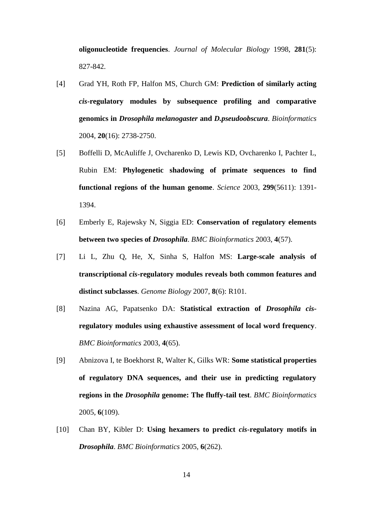**oligonucleotide frequencies**. *Journal of Molecular Biology* 1998, **281**(5): 827-842.

- [4] Grad YH, Roth FP, Halfon MS, Church GM: **Prediction of similarly acting**  *cis***-regulatory modules by subsequence profiling and comparative genomics in** *Drosophila melanogaster* **and** *D.pseudoobscura*. *Bioinformatics*  2004, **20**(16): 2738-2750.
- [5] Boffelli D, McAuliffe J, Ovcharenko D, Lewis KD, Ovcharenko I, Pachter L, Rubin EM: **Phylogenetic shadowing of primate sequences to find functional regions of the human genome**. *Science* 2003, **299**(5611): 1391- 1394.
- [6] Emberly E, Rajewsky N, Siggia ED: **Conservation of regulatory elements between two species of** *Drosophila*. *BMC Bioinformatics* 2003, **4**(57).
- [7] Li L, Zhu Q, He, X, Sinha S, Halfon MS: **Large-scale analysis of transcriptional** *cis***-regulatory modules reveals both common features and distinct subclasses**. *Genome Biology* 2007, **8**(6): R101.
- [8] Nazina AG, Papatsenko DA: **Statistical extraction of** *Drosophila cis***regulatory modules using exhaustive assessment of local word frequency**. *BMC Bioinformatics* 2003, **4**(65).
- [9] Abnizova I, te Boekhorst R, Walter K, Gilks WR: **Some statistical properties of regulatory DNA sequences, and their use in predicting regulatory regions in the** *Drosophila* **genome: The fluffy-tail test**. *BMC Bioinformatics*  2005, **6**(109).
- [10] Chan BY, Kibler D: **Using hexamers to predict** *cis***-regulatory motifs in**  *Drosophila*. *BMC Bioinformatics* 2005, **6**(262).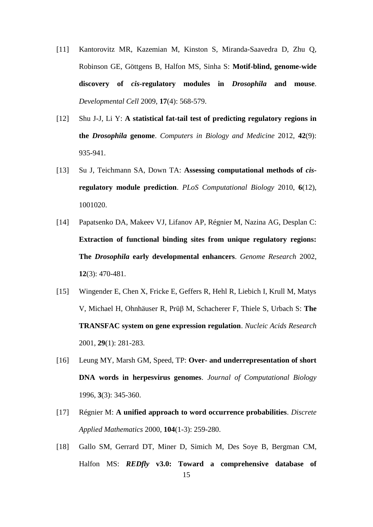- [11] Kantorovitz MR, Kazemian M, Kinston S, Miranda-Saavedra D, Zhu Q, Robinson GE, Göttgens B, Halfon MS, Sinha S: **Motif-blind, genome-wide discovery of** *cis***-regulatory modules in** *Drosophila* **and mouse**. *Developmental Cell* 2009, **17**(4): 568-579.
- [12] Shu J-J, Li Y: **A statistical fat-tail test of predicting regulatory regions in the** *Drosophila* **genome**. *Computers in Biology and Medicine* 2012, **42**(9): 935-941.
- [13] Su J, Teichmann SA, Down TA: **Assessing computational methods of** *cis***regulatory module prediction**. *PLoS Computational Biology* 2010, **6**(12), 1001020.
- [14] Papatsenko DA, Makeev VJ, Lifanov AP, Régnier M, Nazina AG, Desplan C: **Extraction of functional binding sites from unique regulatory regions: The** *Drosophila* **early developmental enhancers**. *Genome Research* 2002, **12**(3): 470-481.
- [15] Wingender E, Chen X, Fricke E, Geffers R, Hehl R, Liebich I, Krull M, Matys V, Michael H, Ohnhäuser R, [Prüβ M,](http://apps.isiknowledge.com.ezlibproxy1.ntu.edu.sg/DaisyOneClickSearch.do?product=WOS&search_mode=DaisyOneClickSearch&db_id=&SID=U1cHehl32IoAi8jcaO4&name=Pruss%20M&ut=000166360300077&pos=11) [Schacherer F,](http://apps.isiknowledge.com.ezlibproxy1.ntu.edu.sg/DaisyOneClickSearch.do?product=WOS&search_mode=DaisyOneClickSearch&db_id=&SID=U1cHehl32IoAi8jcaO4&name=Schacherer%20F&ut=000166360300077&pos=12) [Thiele S,](http://apps.isiknowledge.com.ezlibproxy1.ntu.edu.sg/DaisyOneClickSearch.do?product=WOS&search_mode=DaisyOneClickSearch&db_id=&SID=U1cHehl32IoAi8jcaO4&name=Thiele%20S&ut=000166360300077&pos=13) [Urbach S:](http://apps.isiknowledge.com.ezlibproxy1.ntu.edu.sg/DaisyOneClickSearch.do?product=WOS&search_mode=DaisyOneClickSearch&db_id=&SID=U1cHehl32IoAi8jcaO4&name=Urbach%20S&ut=000166360300077&pos=14) **The TRANSFAC system on gene expression regulation**. *Nucleic Acids Research*  2001, **29**(1): 281-283.
- [16] Leung MY, Marsh GM, Speed, TP: **Over- and underrepresentation of short DNA words in herpesvirus genomes**. *Journal of Computational Biology* 1996, **3**(3): 345-360.
- [17] Régnier M: **[A unified approach to word occurrence probabilities](http://apps.webofknowledge.com.ezlibproxy1.ntu.edu.sg/full_record.do?product=WOS&search_mode=GeneralSearch&qid=6&SID=U14PAkCL@@iG6NhoE8E&page=1&doc=1)**. *Discrete Applied Mathematics* 2000, **104**(1-3): 259-280.
- 15 [18] Gallo SM, Gerrard DT, Miner D, Simich M, Des Soye B, Bergman CM, Halfon MS: *REDfly* **v3.0: Toward a comprehensive database of**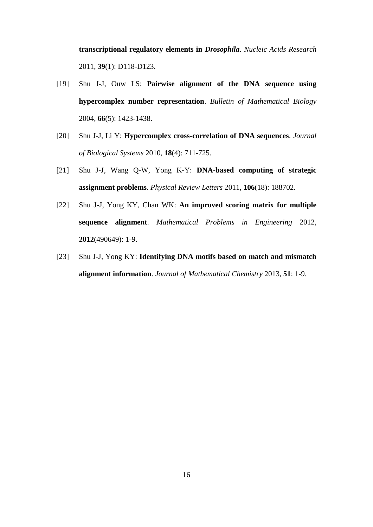**transcriptional regulatory elements in** *Drosophila*. *Nucleic Acids Research* 2011, **39**(1): D118-D123.

- [19] Shu J-J, Ouw LS: **[Pairwise alignment of the DNA sequence using](http://www3.ntu.edu.sg/home/mjjshu/BMB04.pdf)  [hypercomplex number representation](http://www3.ntu.edu.sg/home/mjjshu/BMB04.pdf)**. *Bulletin of Mathematical Biology* 2004, **66**(5): 1423-1438.
- [20] Shu J-J, Li Y: **Hypercomplex cross-correlation of DNA sequences**. *Journal of Biological Systems* 2010, **18**(4): 711-725.
- [21] Shu J-J, Wang Q-W, Yong K-Y: **[DNA-based computing of strategic](http://www.ntu.edu.sg/home/mjjshu/PRL11.pdf)  [assignment problems](http://www.ntu.edu.sg/home/mjjshu/PRL11.pdf)**. *Physical Review Letters* 2011, **106**(18): 188702.
- [22] Shu J-J, Yong KY, Chan WK: **An improved scoring matrix for multiple sequence alignment**. *Mathematical Problems in Engineering* 2012, **2012**(490649): 1-9.
- [23] Shu J-J, Yong KY: **Identifying DNA motifs based on match and mismatch alignment information**. *Journal of Mathematical Chemistry* 2013, **51**: 1-9.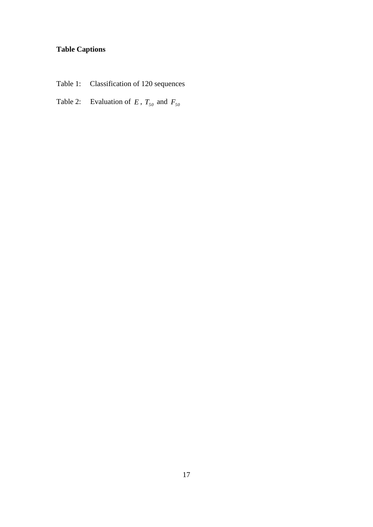## **Table Captions**

- Table 1: Classification of 120 sequences
- Table 2: Evaluation of  $E$ ,  $T_{50}$  and  $F_{50}$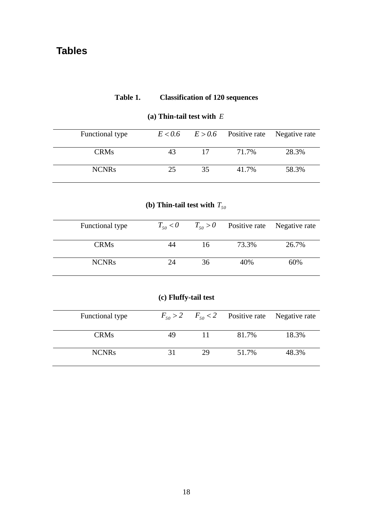### **Table 1. Classification of 120 sequences**

| Functional type |     |    | $E < 0.6$ $E > 0.6$ Positive rate Negative rate |       |
|-----------------|-----|----|-------------------------------------------------|-------|
| <b>CRMs</b>     | 43  | 17 | 71.7%                                           | 28.3% |
| <b>NCNRs</b>    | 25. | 35 | 41.7%                                           | 58.3% |

### **(a) Thin-tail test with**  *E*

### (**b**) Thin-tail test with  $T_{50}$

| Functional type | $T_{50}$ < 0 |    | $T_{50} > 0$ Positive rate Negative rate |       |
|-----------------|--------------|----|------------------------------------------|-------|
| <b>CRMs</b>     | 44           | 16 | 73.3%                                    | 26.7% |
| <b>NCNRs</b>    | 24           | 36 | 40%                                      | 60%   |

### **(c) Fluffy-tail test**

| Functional type |    |    | $F_{50} > 2$ $F_{50} < 2$ Positive rate Negative rate |       |
|-----------------|----|----|-------------------------------------------------------|-------|
| <b>CRMs</b>     |    |    | 81.7%                                                 | 18.3% |
| <b>NCNRs</b>    | 31 | 29 | 51.7%                                                 | 48.3% |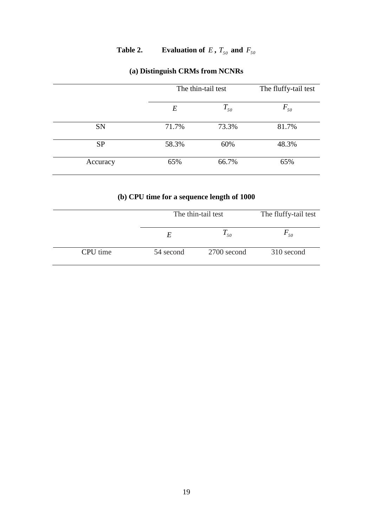### **Table 2. Evaluation of**  $E$ ,  $T_{50}$  and  $F_{50}$

|           | The thin-tail test |          | The fluffy-tail test |  |
|-----------|--------------------|----------|----------------------|--|
|           | $E\,$              | $T_{50}$ | $F_{50}$             |  |
| SN        | 71.7%              | 73.3%    | 81.7%                |  |
| <b>SP</b> | 58.3%              | 60%      | 48.3%                |  |
| Accuracy  | 65%                | 66.7%    | 65%                  |  |

### **(a) Distinguish CRMs from NCNRs**

### **(b) CPU time for a sequence length of 1000**

|          | The thin-tail test |             | The fluffy-tail test |  |
|----------|--------------------|-------------|----------------------|--|
|          | E                  | $T_{50}$    | $F_{50}$             |  |
| CPU time | 54 second          | 2700 second | 310 second           |  |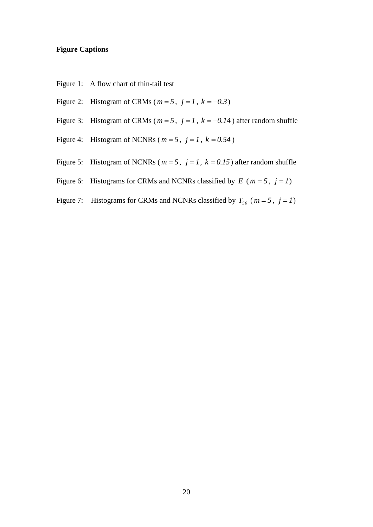### **Figure Captions**

- Figure 1: A flow chart of thin-tail test
- Figure 2: Histogram of CRMs ( $m = 5$ ,  $j = 1$ ,  $k = -0.3$ )
- Figure 3: Histogram of CRMs ( $m = 5$ ,  $j = 1$ ,  $k = -0.14$ ) after random shuffle
- Figure 4: Histogram of NCNRs ( $m = 5$ ,  $j = 1$ ,  $k = 0.54$ )
- Figure 5: Histogram of NCNRs ( $m = 5$ ,  $j = 1$ ,  $k = 0.15$ ) after random shuffle
- Figure 6: Histograms for CRMs and NCNRs classified by  $E$  ( $m = 5$ ,  $j = 1$ )
- Figure 7: Histograms for CRMs and NCNRs classified by  $T_{50}$  ( $m = 5$ ,  $j = 1$ )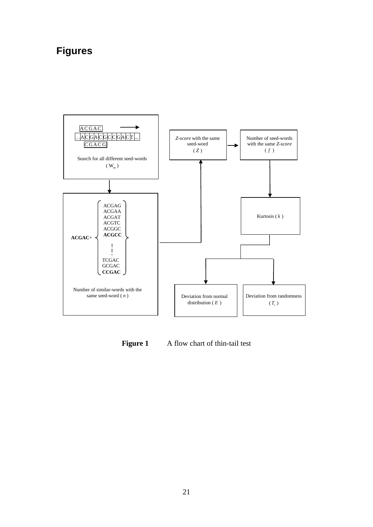# **Figures**



Figure 1 A flow chart of thin-tail test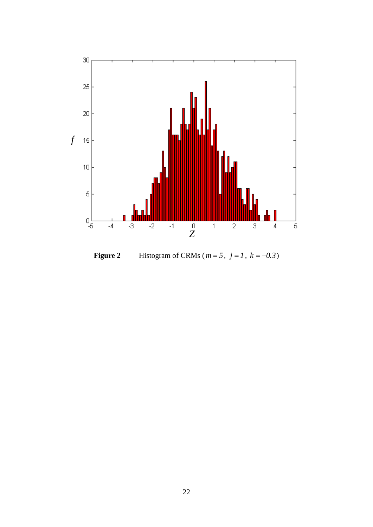

**Figure 2** Histogram of CRMs ( $m = 5$ ,  $j = 1$ ,  $k = -0.3$ )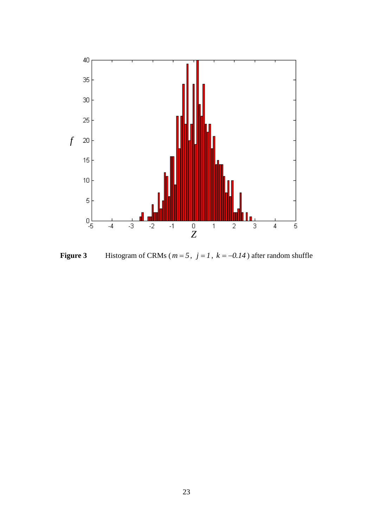

**Figure 3** Histogram of CRMs ( $m = 5$ ,  $j = 1$ ,  $k = -0.14$ ) after random shuffle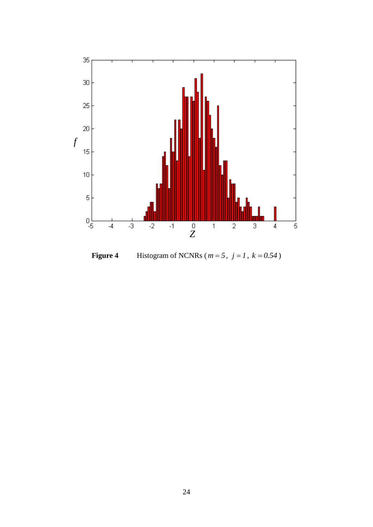

**Figure 4** Histogram of NCNRs ( $m = 5$ ,  $j = 1$ ,  $k = 0.54$ )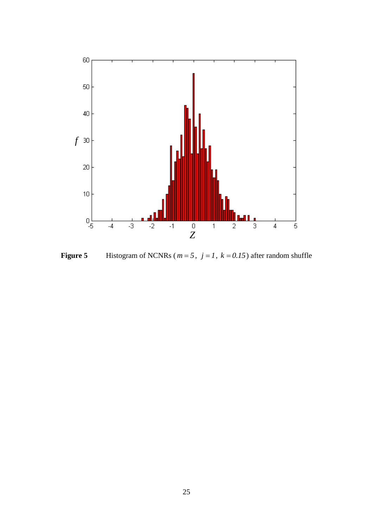

**Figure 5** Histogram of NCNRs ( $m = 5$ ,  $j = 1$ ,  $k = 0.15$ ) after random shuffle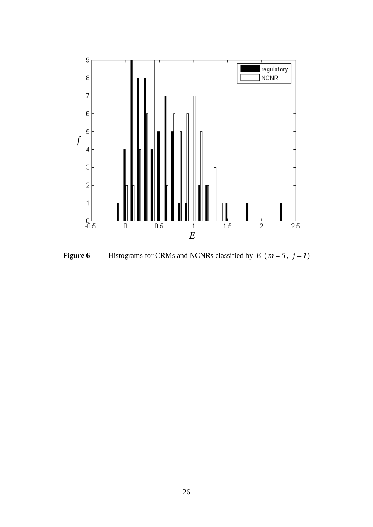

**Figure 6** Histograms for CRMs and NCNRs classified by  $E$  ( $m = 5$ ,  $j = 1$ )